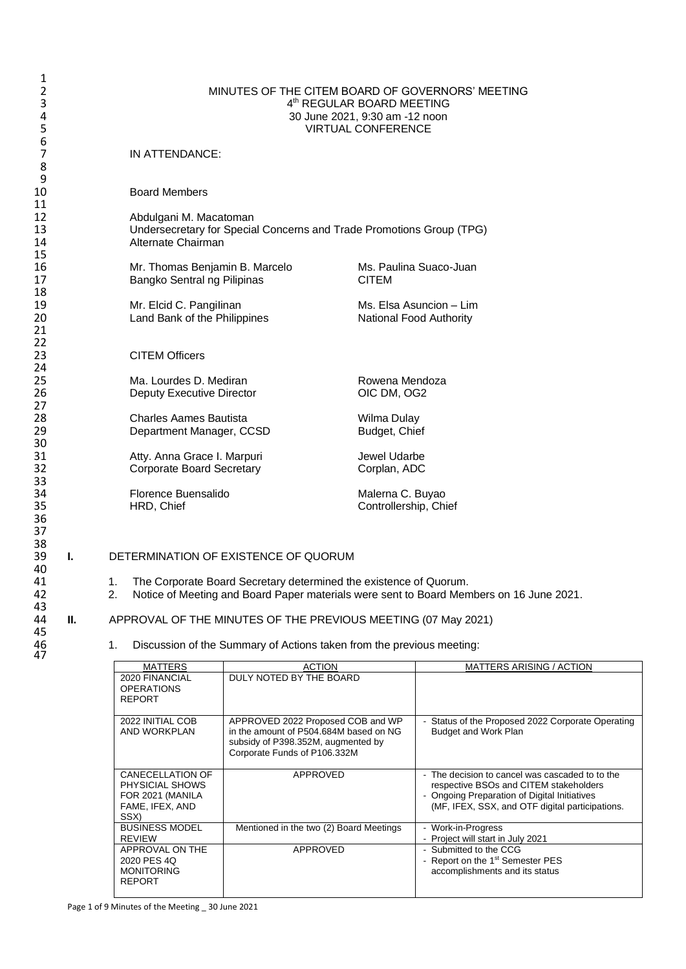| 1              |    |          |                                                                              |                                |  |  |  |  |
|----------------|----|----------|------------------------------------------------------------------------------|--------------------------------|--|--|--|--|
| 2              |    |          | MINUTES OF THE CITEM BOARD OF GOVERNORS' MEETING                             |                                |  |  |  |  |
| 3              |    |          |                                                                              | 4th REGULAR BOARD MEETING      |  |  |  |  |
| 4              |    |          |                                                                              | 30 June 2021, 9:30 am -12 noon |  |  |  |  |
| 5              |    |          |                                                                              | <b>VIRTUAL CONFERENCE</b>      |  |  |  |  |
| 6              |    |          |                                                                              |                                |  |  |  |  |
| $\overline{7}$ |    |          | IN ATTENDANCE:                                                               |                                |  |  |  |  |
| 8              |    |          |                                                                              |                                |  |  |  |  |
| 9              |    |          |                                                                              |                                |  |  |  |  |
| 10             |    |          | <b>Board Members</b>                                                         |                                |  |  |  |  |
| 11             |    |          |                                                                              |                                |  |  |  |  |
| 12             |    |          | Abdulgani M. Macatoman                                                       |                                |  |  |  |  |
| 13             |    |          | Undersecretary for Special Concerns and Trade Promotions Group (TPG)         |                                |  |  |  |  |
| 14             |    |          | Alternate Chairman                                                           |                                |  |  |  |  |
| 15             |    |          |                                                                              |                                |  |  |  |  |
| 16             |    |          | Mr. Thomas Benjamin B. Marcelo                                               | Ms. Paulina Suaco-Juan         |  |  |  |  |
| 17             |    |          | Bangko Sentral ng Pilipinas                                                  | <b>CITEM</b>                   |  |  |  |  |
| 18             |    |          |                                                                              |                                |  |  |  |  |
| 19             |    |          | Mr. Elcid C. Pangilinan                                                      | Ms. Elsa Asuncion – Lim        |  |  |  |  |
| 20             |    |          | Land Bank of the Philippines                                                 | National Food Authority        |  |  |  |  |
| 21             |    |          |                                                                              |                                |  |  |  |  |
| 22             |    |          |                                                                              |                                |  |  |  |  |
| 23             |    |          | <b>CITEM Officers</b>                                                        |                                |  |  |  |  |
| 24             |    |          |                                                                              |                                |  |  |  |  |
| 25             |    |          | Ma. Lourdes D. Mediran                                                       | Rowena Mendoza                 |  |  |  |  |
| 26             |    |          | <b>Deputy Executive Director</b>                                             | OIC DM, OG2                    |  |  |  |  |
| 27             |    |          |                                                                              |                                |  |  |  |  |
| 28             |    |          | <b>Charles Aames Bautista</b>                                                | Wilma Dulay                    |  |  |  |  |
| 29             |    |          | Department Manager, CCSD                                                     | Budget, Chief                  |  |  |  |  |
| 30             |    |          |                                                                              |                                |  |  |  |  |
| 31             |    |          |                                                                              | Jewel Udarbe                   |  |  |  |  |
| 32             |    |          | Atty. Anna Grace I. Marpuri                                                  |                                |  |  |  |  |
| 33             |    |          | Corporate Board Secretary                                                    | Corplan, ADC                   |  |  |  |  |
|                |    |          |                                                                              |                                |  |  |  |  |
| 34             |    |          | Florence Buensalido                                                          | Malerna C. Buyao               |  |  |  |  |
| 35             |    |          | HRD, Chief                                                                   | Controllership, Chief          |  |  |  |  |
| 36             |    |          |                                                                              |                                |  |  |  |  |
| 37             |    |          |                                                                              |                                |  |  |  |  |
| 38             |    |          |                                                                              |                                |  |  |  |  |
| 39             | L. |          | DETERMINATION OF EXISTENCE OF QUORUM                                         |                                |  |  |  |  |
| 40             |    |          |                                                                              |                                |  |  |  |  |
| 41             |    | 1.<br>2. | The Corporate Board Secretary determined the existence of Quorum.            |                                |  |  |  |  |
| 42             |    |          | Notice of Meeting and Board Paper materials were sent to Board Members on 16 |                                |  |  |  |  |
| 43             |    |          |                                                                              |                                |  |  |  |  |

- 41 1. The Corporate Board Secretary determined the existence of Quorum.
- 42 2. Notice of Meeting and Board Paper materials were sent to Board Members on 16 June 2021.

## **II.** APPROVAL OF THE MINUTES OF THE PREVIOUS MEETING (07 May 2021)

1. Discussion of the Summary of Actions taken from the previous meeting:

| <b>MATTERS</b>                                                                                   | <b>ACTION</b>                                                                                                                                     | <b>MATTERS ARISING / ACTION</b>                                                                                                                                                              |
|--------------------------------------------------------------------------------------------------|---------------------------------------------------------------------------------------------------------------------------------------------------|----------------------------------------------------------------------------------------------------------------------------------------------------------------------------------------------|
| 2020 FINANCIAL<br><b>OPERATIONS</b><br><b>REPORT</b>                                             | DULY NOTED BY THE BOARD                                                                                                                           |                                                                                                                                                                                              |
| 2022 INITIAL COB<br>AND WORKPLAN                                                                 | APPROVED 2022 Proposed COB and WP<br>in the amount of P504,684M based on NG<br>subsidy of P398.352M, augmented by<br>Corporate Funds of P106.332M | Status of the Proposed 2022 Corporate Operating<br><b>Budget and Work Plan</b>                                                                                                               |
| <b>CANECELLATION OF</b><br><b>PHYSICIAL SHOWS</b><br>FOR 2021 (MANILA<br>FAME, IFEX, AND<br>SSX) | APPROVED                                                                                                                                          | - The decision to cancel was cascaded to to the<br>respective BSOs and CITEM stakeholders<br>- Ongoing Preparation of Digital Initiatives<br>(MF, IFEX, SSX, and OTF digital participations. |
| <b>BUSINESS MODEL</b><br><b>REVIEW</b>                                                           | Mentioned in the two (2) Board Meetings                                                                                                           | - Work-in-Progress<br>- Project will start in July 2021                                                                                                                                      |
| APPROVAL ON THE<br>2020 PES 4Q<br><b>MONITORING</b><br><b>REPORT</b>                             | APPROVED                                                                                                                                          | - Submitted to the CCG<br>- Report on the 1 <sup>st</sup> Semester PES<br>accomplishments and its status                                                                                     |

45

47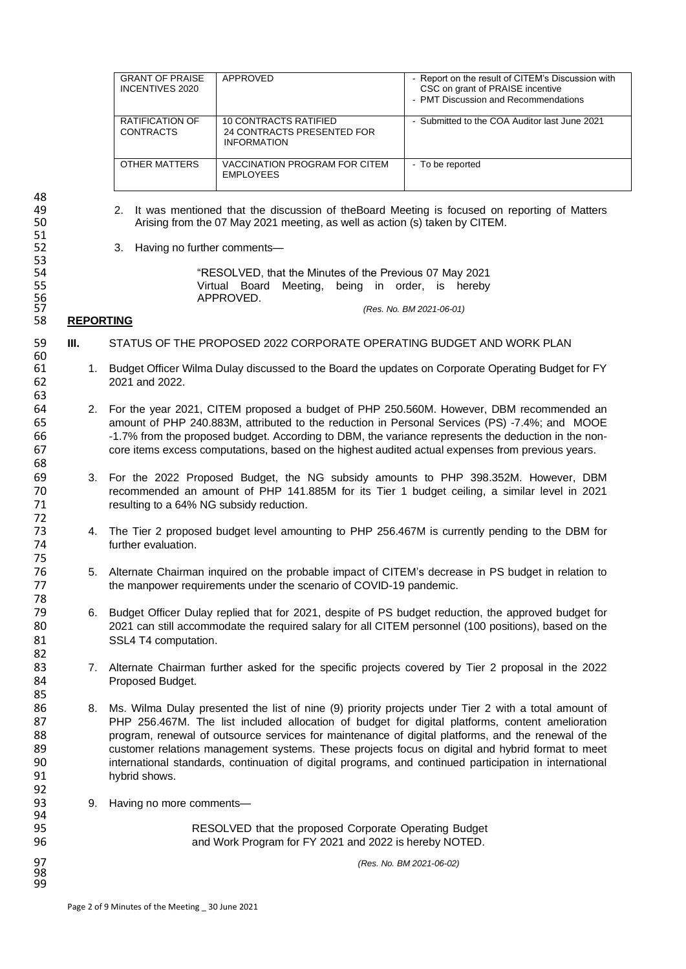| <b>GRANT OF PRAISE</b><br>INCENTIVES 2020  | APPROVED                                                                  | - Report on the result of CITEM's Discussion with<br>CSC on grant of PRAISE incentive<br>- PMT Discussion and Recommendations |
|--------------------------------------------|---------------------------------------------------------------------------|-------------------------------------------------------------------------------------------------------------------------------|
| <b>RATIFICATION OF</b><br><b>CONTRACTS</b> | 10 CONTRACTS RATIFIED<br>24 CONTRACTS PRESENTED FOR<br><b>INFORMATION</b> | - Submitted to the COA Auditor last June 2021                                                                                 |
| OTHER MATTERS                              | VACCINATION PROGRAM FOR CITEM<br><b>EMPLOYEES</b>                         | - To be reported                                                                                                              |

48 49 2. It was mentioned that the discussion of theBoard Meeting is focused on reporting of Matters<br>50 197 Arising from the 07 May 2021 meeting, as well as action (s) taken by CITEM. 51<br>52

53

63<br>64

68

72

75<br>76

78

82

85

92<br>93

94<br>95

98 99 52 3. Having no further comments—

54 "RESOLVED, that the Minutes of the Previous 07 May 2021<br>55 The Virtual Board Meeting, being in order, is hereby 55 Virtual Board Meeting, being in order, is hereby<br>56 APPROVED.<br>57 (Res. No. BM 2021-06-01) APPROVED.

Arising from the 07 May 2021 meeting, as well as action (s) taken by CITEM.

#### 57 *(Res. No. BM 2021-06-01)* 58 **REPORTING**

- 59 **III.** STATUS OF THE PROPOSED 2022 CORPORATE OPERATING BUDGET AND WORK PLAN 60<br>61
- 1. Budget Officer Wilma Dulay discussed to the Board the updates on Corporate Operating Budget for FY 62 2021 and 2022.
- 64 2. For the year 2021, CITEM proposed a budget of PHP 250.560M. However, DBM recommended an 65 amount of PHP 240.883M, attributed to the reduction in Personal Services (PS) -7.4%; and MOOE 66 -1.7% from the proposed budget. According to DBM, the variance represents the deduction in the non-<br>67 - Core items excess computations based on the bighest audited actual expenses from previous vears core items excess computations, based on the highest audited actual expenses from previous years.
- 69 3. For the 2022 Proposed Budget, the NG subsidy amounts to PHP 398.352M. However, DBM 70 recommended an amount of PHP 141.885M for its Tier 1 budget ceiling, a similar level in 2021 resulting to a 64% NG subsidy reduction.
- 73 4. The Tier 2 proposed budget level amounting to PHP 256.467M is currently pending to the DBM for turther evaluation. further evaluation.
- 76 5. Alternate Chairman inquired on the probable impact of CITEM's decrease in PS budget in relation to<br>77 the manpower requirements under the scenario of COVID-19 pandemic. the manpower requirements under the scenario of COVID-19 pandemic.
- 79 6. Budget Officer Dulay replied that for 2021, despite of PS budget reduction, the approved budget for 80 2021 can still accommodate the required salary for all CITEM personnel (100 positions), based on the 81 SSL4 T4 computation.
- 83 7. Alternate Chairman further asked for the specific projects covered by Tier 2 proposal in the 2022 84 Proposed Budget.
- 86 8. Ms. Wilma Dulay presented the list of nine (9) priority projects under Tier 2 with a total amount of 87 PHP 256.467M. The list included allocation of budget for digital platforms, content amelioration 88 program, renewal of outsource services for maintenance of digital platforms, and the renewal of the renewal of the<br>89 secure relations management systems. These projects focus on digital and hybrid format to meet 89 customer relations management systems. These projects focus on digital and hybrid format to meet<br>80 customer national standards, continuation of digital programs, and continued participation in international international standards, continuation of digital programs, and continued participation in international 91 hybrid shows.
	- 9. Having no more comments-

95 95 RESOLVED that the proposed Corporate Operating Budget<br>96 96 and Work Program for FY 2021 and 2022 is hereby NOTED. and Work Program for FY 2021 and 2022 is hereby NOTED.

97 *(Res. No. BM 2021-06-02)*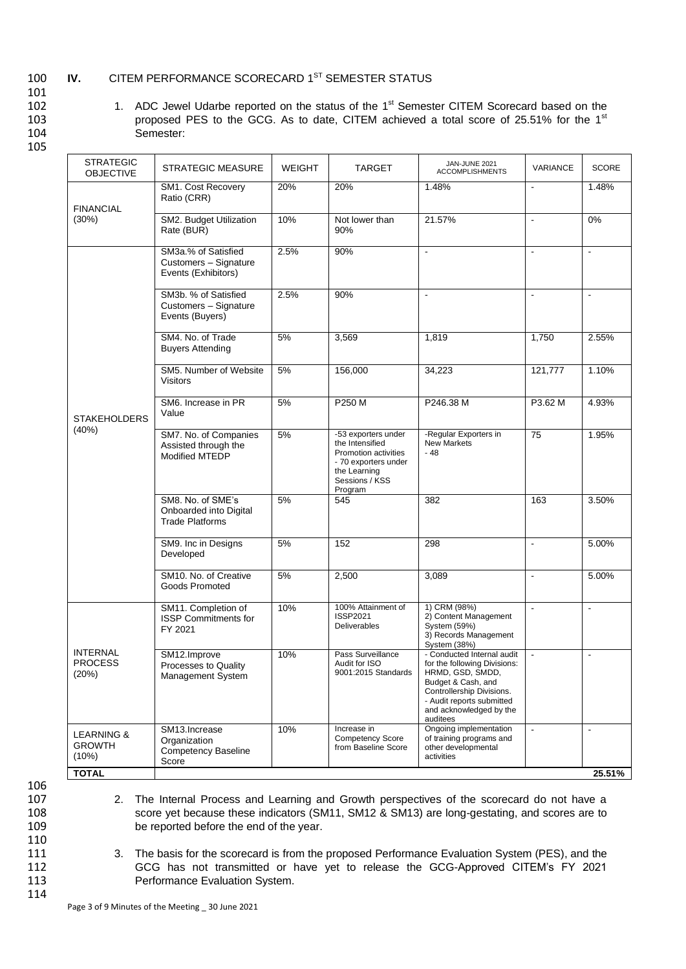## 100 **IV.** CITEM PERFORMANCE SCORECARD 1<sup>ST</sup> SEMESTER STATUS

101

- 
- 102 1. ADC Jewel Udarbe reported on the status of the 1<sup>st</sup> Semester CITEM Scorecard based on the 103 proposed PES to the GCG. As to date, CITEM achieved a total score of 25.51% for the 1<sup>st</sup>

| ×<br>۰. |
|---------|
|         |

| <b>STRATEGIC</b><br><b>OBJECTIVE</b>            | <b>STRATEGIC MEASURE</b>                                              | <b>WEIGHT</b> | <b>TARGET</b>                                                                                                                       | JAN-JUNE 2021<br><b>ACCOMPLISHMENTS</b>                                                                                                                                                               | VARIANCE       | <b>SCORE</b>   |
|-------------------------------------------------|-----------------------------------------------------------------------|---------------|-------------------------------------------------------------------------------------------------------------------------------------|-------------------------------------------------------------------------------------------------------------------------------------------------------------------------------------------------------|----------------|----------------|
| <b>FINANCIAL</b>                                | SM1. Cost Recovery<br>Ratio (CRR)                                     | 20%           | 20%                                                                                                                                 | 1.48%                                                                                                                                                                                                 | $\blacksquare$ | 1.48%          |
| $(30\%)$                                        | SM2. Budget Utilization<br>Rate (BUR)                                 | 10%           | Not lower than<br>90%                                                                                                               | 21.57%                                                                                                                                                                                                | $\blacksquare$ | $0\%$          |
|                                                 | SM3a.% of Satisfied<br>Customers - Signature<br>Events (Exhibitors)   | 2.5%          | 90%                                                                                                                                 | $\blacksquare$                                                                                                                                                                                        | $\blacksquare$ | $\Box$         |
|                                                 | SM3b. % of Satisfied<br>Customers - Signature<br>Events (Buyers)      | 2.5%          | 90%                                                                                                                                 | $\blacksquare$                                                                                                                                                                                        | $\blacksquare$ | $\blacksquare$ |
|                                                 | SM4. No. of Trade<br><b>Buyers Attending</b>                          | 5%            | 3,569                                                                                                                               | 1,819                                                                                                                                                                                                 | 1,750          | 2.55%          |
|                                                 | SM5. Number of Website<br><b>Visitors</b>                             | 5%            | 156,000                                                                                                                             | 34,223                                                                                                                                                                                                | 121,777        | 1.10%          |
| <b>STAKEHOLDERS</b>                             | SM6. Increase in PR<br>Value                                          | 5%            | P250 M                                                                                                                              | P246.38 M                                                                                                                                                                                             | P3.62 M        | 4.93%          |
| (40%)                                           | SM7. No. of Companies<br>Assisted through the<br>Modified MTEDP       | 5%            | -53 exporters under<br>the Intensified<br>Promotion activities<br>- 70 exporters under<br>the Learning<br>Sessions / KSS<br>Program | -Regular Exporters in<br><b>New Markets</b><br>$-48$                                                                                                                                                  | 75             | 1.95%          |
|                                                 | SM8. No. of SME's<br>Onboarded into Digital<br><b>Trade Platforms</b> | 5%            | 545                                                                                                                                 | 382                                                                                                                                                                                                   | 163            | 3.50%          |
|                                                 | SM9. Inc in Designs<br>Developed                                      | 5%            | 152                                                                                                                                 | 298                                                                                                                                                                                                   | $\blacksquare$ | 5.00%          |
|                                                 | SM10. No. of Creative<br>Goods Promoted                               | 5%            | 2,500                                                                                                                               | 3,089                                                                                                                                                                                                 | $\blacksquare$ | 5.00%          |
|                                                 | SM11. Completion of<br><b>ISSP Commitments for</b><br>FY 2021         | 10%           | 100% Attainment of<br>ISSP2021<br>Deliverables                                                                                      | 1) CRM (98%)<br>2) Content Management<br>System (59%)<br>3) Records Management<br>System (38%)                                                                                                        | $\blacksquare$ | $\blacksquare$ |
| <b>INTERNAL</b><br><b>PROCESS</b><br>(20%)      | SM12.Improve<br>Processes to Quality<br>Management System             | 10%           | Pass Surveillance<br>Audit for ISO<br>9001:2015 Standards                                                                           | - Conducted Internal audit<br>for the following Divisions:<br>HRMD, GSD, SMDD,<br>Budget & Cash, and<br>Controllership Divisions.<br>- Audit reports submitted<br>and acknowledged by the<br>auditees |                | $\overline{a}$ |
| <b>LEARNING &amp;</b><br><b>GROWTH</b><br>(10%) | SM13.Increase<br>Organization<br><b>Competency Baseline</b><br>Score  | 10%           | Increase in<br><b>Competency Score</b><br>from Baseline Score                                                                       | Ongoing implementation<br>of training programs and<br>other developmental<br>activities                                                                                                               | $\blacksquare$ | $\blacksquare$ |

2. The Internal Process and Learning and Growth perspectives of the scorecard do not have a

106<br>107

- 108 score yet because these indicators (SM11, SM12 & SM13) are long-gestating, and scores are to 109 be reported before the end of the year. 110<br>111
- 
- 

114

111 3. The basis for the scorecard is from the proposed Performance Evaluation System (PES), and the 112 GCG has not transmitted or have yet to release the GCG-Approved CITEM's FY 2021 112 GCG has not transmitted or have yet to release the GCG-Approved CITEM's FY 2021<br>113 Ferformance Evaluation System. Performance Evaluation System.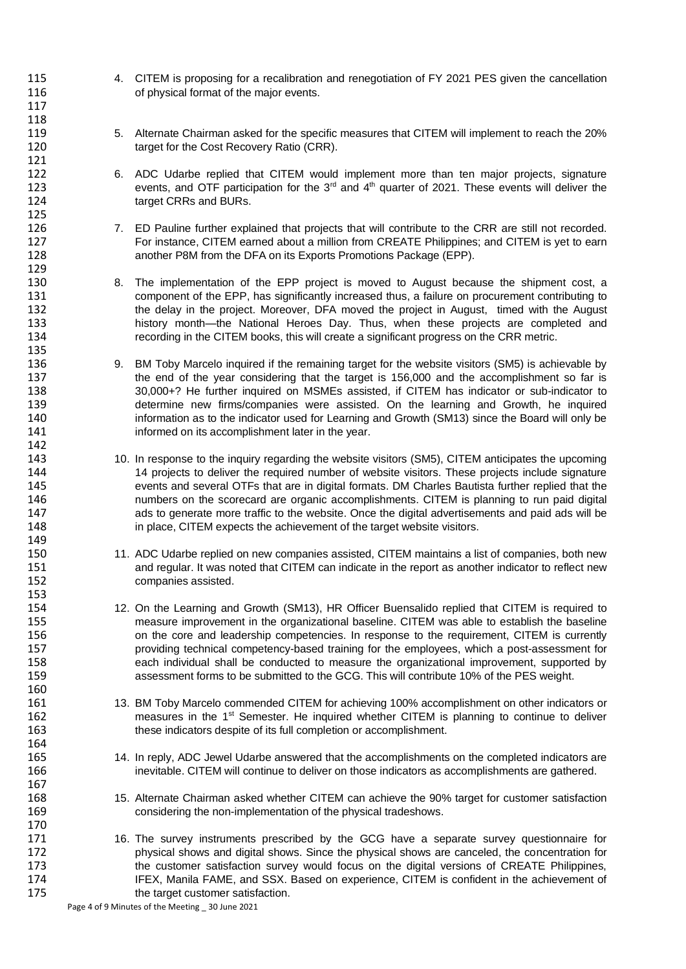- 115 4. CITEM is proposing for a recalibration and renegotiation of FY 2021 PES given the cancellation 116 **116** of physical format of the major events.
- 119 5. Alternate Chairman asked for the specific measures that CITEM will implement to reach the 20% 120 target for the Cost Recovery Ratio (CRR).
- 6. ADC Udarbe replied that CITEM would implement more than ten major projects, signature 123 events, and OTF participation for the  $3<sup>rd</sup>$  and  $4<sup>th</sup>$  quarter of 2021. These events will deliver the 124 target CRRs and BURs.
- 126 7. ED Pauline further explained that projects that will contribute to the CRR are still not recorded. 127 For instance, CITEM earned about a million from CREATE Philippines; and CITEM is yet to earn 128 another P8M from the DFA on its Exports Promotions Package (EPP).
- 130 8. The implementation of the EPP project is moved to August because the shipment cost, a 131 component of the EPP, has significantly increased thus, a failure on procurement contributing to 132 the delay in the project. Moreover, DFA moved the project in August, timed with the August<br>133 history month—the National Heroes Day. Thus, when these projects are completed and history month—the National Heroes Day. Thus, when these projects are completed and 134 recording in the CITEM books, this will create a significant progress on the CRR metric.
- 136 9. BM Toby Marcelo inquired if the remaining target for the website visitors (SM5) is achievable by 137 the end of the year considering that the target is 156,000 and the accomplishment so far is 138 30,000+? He further inquired on MSMEs assisted, if CITEM has indicator or sub-indicator to 139 determine new firms/companies were assisted. On the learning and Growth, he inquired 140 information as to the indicator used for Learning and Growth (SM13) since the Board will only be 141 informed on its accomplishment later in the year.
- 143 143 10. In response to the inquiry regarding the website visitors (SM5), CITEM anticipates the upcoming<br>14 14 projects to deliver the required number of website visitors. These projects include signature 14 projects to deliver the required number of website visitors. These projects include signature 145 events and several OTFs that are in digital formats. DM Charles Bautista further replied that the 146 numbers on the scorecard are organic accomplishments. CITEM is planning to run paid digital 147 ads to generate more traffic to the website. Once the digital advertisements and paid ads will be 148 **in place, CITEM expects the achievement of the target website visitors.**
- 11. ADC Udarbe replied on new companies assisted, CITEM maintains a list of companies, both new 151 and regular. It was noted that CITEM can indicate in the report as another indicator to reflect new 152 companies assisted.
- 154 12. On the Learning and Growth (SM13), HR Officer Buensalido replied that CITEM is required to<br>155 measure improvement in the organizational baseline. CITEM was able to establish the baseline measure improvement in the organizational baseline. CITEM was able to establish the baseline 156 on the core and leadership competencies. In response to the requirement, CITEM is currently 157 providing technical competency-based training for the employees, which a post-assessment for 158 each individual shall be conducted to measure the organizational improvement, supported by<br>159 sessessment forms to be submitted to the GCG. This will contribute 10% of the PES weight. assessment forms to be submitted to the GCG. This will contribute 10% of the PES weight.
- 161 13. BM Toby Marcelo commended CITEM for achieving 100% accomplishment on other indicators or 162 **Sepannic 162** measures in the 1<sup>st</sup> Semester. He inquired whether CITEM is planning to continue to deliver 163 these indicators despite of its full completion or accomplishment.
- 165 14. In reply, ADC Jewel Udarbe answered that the accomplishments on the completed indicators are 166 inevitable. CITEM will continue to deliver on those indicators as accomplishments are gathered.
- 168 168 15. Alternate Chairman asked whether CITEM can achieve the 90% target for customer satisfaction<br>169 considering the non-implementation of the physical tradeshows. considering the non-implementation of the physical tradeshows.
- 171 16. The survey instruments prescribed by the GCG have a separate survey questionnaire for 172 physical shows and digital shows. Since the physical shows are canceled, the concentration for<br>173 the customer satisfaction survey would focus on the digital versions of CREATE Philippines. the customer satisfaction survey would focus on the digital versions of CREATE Philippines, 174 IFEX, Manila FAME, and SSX. Based on experience, CITEM is confident in the achievement of 175 the target customer satisfaction.

Page 4 of 9 Minutes of the Meeting \_ 30 June 2021

117 118

121<br>122

125

129

135

142<br>143

149<br>150

153

160

164

167

170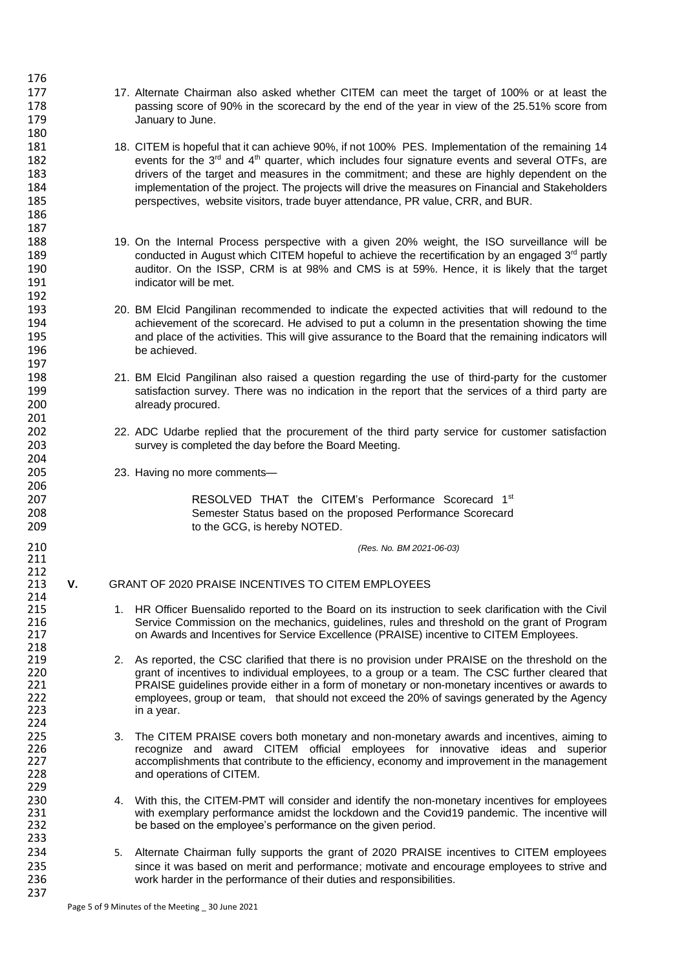- 177 17. Alternate Chairman also asked whether CITEM can meet the target of 100% or at least the 178 passing score of 90% in the scorecard by the end of the year in view of the 25.51% score from<br>179 January to June. January to June.
- 181 18. CITEM is hopeful that it can achieve 90%, if not 100% PES. Implementation of the remaining 14<br>182 events for the 3<sup>rd</sup> and 4<sup>th</sup> quarter, which includes four signature events and several OTFs, are 182 events for the  $3^{rd}$  and  $4^{th}$  quarter, which includes four signature events and several OTFs, are are highly dependent on the set of the target and measures in the commitment: and these are highly dependent on the drivers of the target and measures in the commitment; and these are highly dependent on the 184 implementation of the project. The projects will drive the measures on Financial and Stakeholders 185 perspectives, website visitors, trade buyer attendance, PR value, CRR, and BUR.
- 188 19. On the Internal Process perspective with a given 20% weight, the ISO surveillance will be 189 conducted in August which CITEM hopeful to achieve the recertification by an engaged 3<sup>rd</sup> partly 190 **auditor.** On the ISSP, CRM is at 98% and CMS is at 59%. Hence, it is likely that the target 191 indicator will be met.
- 193 20. BM Elcid Pangilinan recommended to indicate the expected activities that will redound to the<br>194 achievement of the scorecard. He advised to put a column in the presentation showing the time achievement of the scorecard. He advised to put a column in the presentation showing the time 195 and place of the activities. This will give assurance to the Board that the remaining indicators will<br>196 be achieved.
- 198 21. BM Elcid Pangilinan also raised a question regarding the use of third-party for the customer 199 satisfaction survey. There was no indication in the report that the services of a third party are 200 already procured.
- 202 22. ADC Udarbe replied that the procurement of the third party service for customer satisfaction 203 survey is completed the day before the Board Meeting.
	- 23. Having no more comments-

176

180

186 187

192<br>193

197

201

204<br>205

206

211

214<br>215

218<br>219

224<br>225

229<br>230

233

237

207 **RESOLVED THAT the CITEM's Performance Scorecard 1st 207** 208 Semester Status based on the proposed Performance Scorecard 209 to the GCG, is hereby NOTED.

210 *(Res. No. BM 2021-06-03)*

### 212<br>213 213 **V.** GRANT OF 2020 PRAISE INCENTIVES TO CITEM EMPLOYEES

- 1. HR Officer Buensalido reported to the Board on its instruction to seek clarification with the Civil 216 Service Commission on the mechanics, guidelines, rules and threshold on the grant of Program<br>217 on Awards and Incentives for Service Excellence (PRAISE) incentive to CITEM Employees. 217 on Awards and Incentives for Service Excellence (PRAISE) incentive to CITEM Employees.
- 219 2. As reported, the CSC clarified that there is no provision under PRAISE on the threshold on the 220 carant of incentives to individual employees, to a group or a team. The CSC further cleared that 220 grant of incentives to individual employees, to a group or a team. The CSC further cleared that<br>221 PRAISE quidelines provide either in a form of monetary or non-monetary incentives or awards to 221 **PRAISE** guidelines provide either in a form of monetary or non-monetary incentives or awards to<br>222 employees, group or team, that should not exceed the 20% of savings generated by the Agency 222 employees, group or team, that should not exceed the 20% of savings generated by the Agency<br>223 in a year. in a year.
- 225 3. The CITEM PRAISE covers both monetary and non-monetary awards and incentives, aiming to<br>226 **19 Styrit CITEM STAN STAN STAN** controllers for innovative ideas and superior 226 **recognize and award CITEM official employees for innovative ideas and superior**<br>227 accomplishments that contribute to the efficiency, economy and improvement in the management 227 accomplishments that contribute to the efficiency, economy and improvement in the management 228 and operations of CITEM.
- 4. With this, the CITEM-PMT will consider and identify the non-monetary incentives for employees 231 with exemplary performance amidst the lockdown and the Covid19 pandemic. The incentive will<br>232 be based on the employee's performance on the given period. be based on the employee's performance on the given period.
- 234 5. Alternate Chairman fully supports the grant of 2020 PRAISE incentives to CITEM employees 235 since it was based on merit and performance; motivate and encourage employees to strive and<br>236 strive harder in the performance of their duties and responsibilities. work harder in the performance of their duties and responsibilities.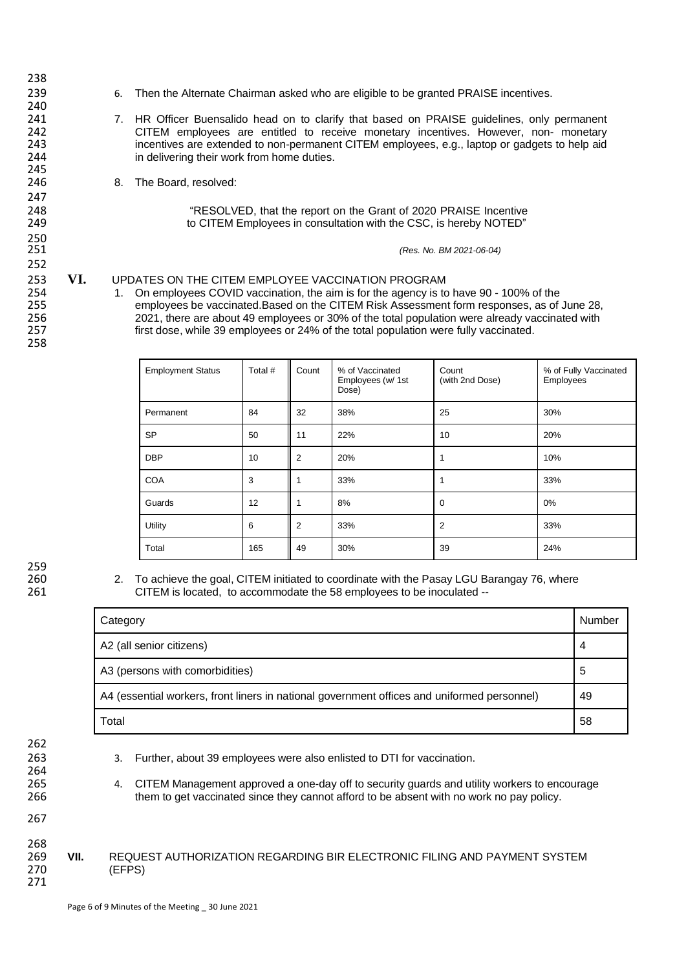238 240<br>241 245<br>246 247<br>248 250 252

258

239 6. Then the Alternate Chairman asked who are eligible to be granted PRAISE incentives.

- 241 7. HR Officer Buensalido head on to clarify that based on PRAISE guidelines, only permanent<br>242 CITEM emplovees are entitled to receive monetary incentives. However, non- monetary 242 CITEM employees are entitled to receive monetary incentives. However, non- monetary<br>243 communities are extended to non-permanent CITEM employees, e.g., laptop or gadgets to help aid 243 incentives are extended to non-permanent CITEM employees, e.g., laptop or gadgets to help aid<br>244 in delivering their work from home duties. in delivering their work from home duties.
	- 8. The Board, resolved:

248 The SOLVED, that the report on the Grant of 2020 PRAISE Incentive<br>249 The CITEM Employees in consultation with the CSC, is hereby NOTED" to CITEM Employees in consultation with the CSC, is hereby NOTED"

251 *(Res. No. BM 2021-06-04)*

# 253 **VI.** UPDATES ON THE CITEM EMPLOYEE VACCINATION PROGRAM<br>254 1. On employees COVID vaccination, the aim is for the agency is to

254 1. On employees COVID vaccination, the aim is for the agency is to have 90 - 100% of the<br>255 employees be vaccinated Based on the CITEM Risk Assessment form responses, as of 255 employees be vaccinated.Based on the CITEM Risk Assessment form responses, as of June 28,<br>256 256 2021, there are about 49 employees or 30% of the total population were already vaccinated with 256 2021, there are about 49 employees or 30% of the total population were already vaccinated with 257 first dose, while 39 employees or 24% of the total population were fully vaccinated.

| <b>Employment Status</b> | Total # | Count          | % of Vaccinated<br>Employees (w/ 1st<br>Dose) | Count<br>(with 2nd Dose) | % of Fully Vaccinated<br>Employees |
|--------------------------|---------|----------------|-----------------------------------------------|--------------------------|------------------------------------|
| Permanent                | 84      | 32             | 38%                                           | 25                       | 30%                                |
| <b>SP</b>                | 50      | 11             | 22%                                           | 10                       | 20%                                |
| <b>DBP</b>               | 10      | $\overline{2}$ | 20%                                           |                          | 10%                                |
| <b>COA</b>               | 3       |                | 33%                                           |                          | 33%                                |
| Guards                   | 12      |                | 8%                                            | 0                        | 0%                                 |
| Utility                  | 6       | 2              | 33%                                           | $\overline{2}$           | 33%                                |
| Total                    | 165     | 49             | 30%                                           | 39                       | 24%                                |

259<br>260

260 2. To achieve the goal, CITEM initiated to coordinate with the Pasay LGU Barangay 76, where CITEM is located, to accommodate the 58 employees to be inoculated --

| Category                                                                                    | Number |
|---------------------------------------------------------------------------------------------|--------|
| A2 (all senior citizens)                                                                    | 4      |
| A3 (persons with comorbidities)                                                             | 5      |
| A4 (essential workers, front liners in national government offices and uniformed personnel) | 49     |
| Total                                                                                       | 58     |

- 262
- 264

263 3. Further, about 39 employees were also enlisted to DTI for vaccination.

265 4. CITEM Management approved a one-day off to security guards and utility workers to encourage 266 them to get vaccinated since they cannot afford to be absent with no work no pay policy.

- 267
- 268<br>269
- 269 **VII.** REQUEST AUTHORIZATION REGARDING BIR ELECTRONIC FILING AND PAYMENT SYSTEM (EFPS) 271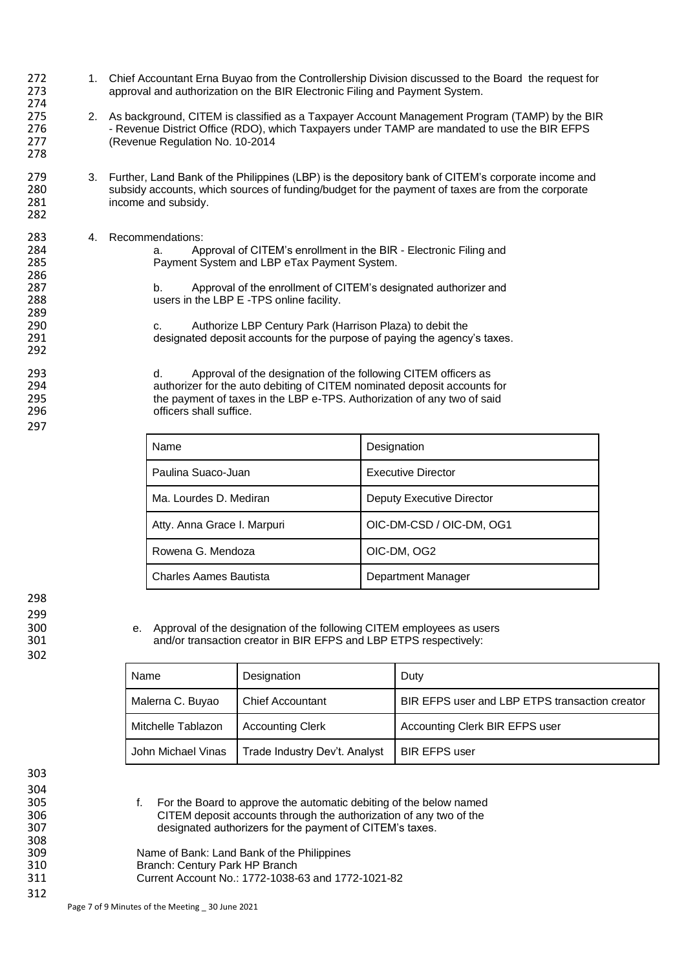- 272 1. Chief Accountant Erna Buyao from the Controllership Division discussed to the Board the request for<br>273 **1. Controller and autography** on the BIR Electronic Filing and Payment System. approval and authorization on the BIR Electronic Filing and Payment System. 274
- 275 2. As background, CITEM is classified as a Taxpayer Account Management Program (TAMP) by the BIR<br>276 **276** Revenue District Office (RDO), which Taxpayers under TAMP are mandated to use the BIR EFPS 276 - Revenue District Office (RDO), which Taxpayers under TAMP are mandated to use the BIR EFPS 277 (Revenue Regulation No. 10-2014
- 279 3. Further, Land Bank of the Philippines (LBP) is the depository bank of CITEM's corporate income and<br>280 subsidy accounts, which sources of funding/budget for the payment of taxes are from the corporate 280 subsidy accounts, which sources of funding/budget for the payment of taxes are from the corporate 281 income and subsidy.
- 283 4. Recommendations:<br>284 a Ap

| 284 | Approval of CITEM's enrollment in the BIR - Electronic Filing and |
|-----|-------------------------------------------------------------------|
| 285 | Payment System and LBP eTax Payment System.                       |

b. Approval of the enrollment of CITEM's designated authorizer and 288 users in the LBP E -TPS online facility.

290 c. Authorize LBP Century Park (Harrison Plaza) to debit the<br>291 clesianated deposit accounts for the purpose of paving the agency designated deposit accounts for the purpose of paying the agency's taxes.

293 d. Approval of the designation of the following CITEM officers as<br>294 authorizer for the auto debiting of CITEM nominated deposit accounts 294 294 authorizer for the auto debiting of CITEM nominated deposit accounts for<br>295 the payment of taxes in the LBP e-TPS. Authorization of any two of said 295 the payment of taxes in the LBP e-TPS. Authorization of any two of said<br>296 flicers shall suffice. officers shall suffice.

| Name                        | Designation               |
|-----------------------------|---------------------------|
| Paulina Suaco-Juan          | <b>Executive Director</b> |
| Ma. Lourdes D. Mediran      | Deputy Executive Director |
| Atty. Anna Grace I. Marpuri | OIC-DM-CSD / OIC-DM, OG1  |
| Rowena G. Mendoza           | OIC-DM, OG2               |
| Charles Aames Bautista      | Department Manager        |

298 299<br>300

302

278

282

286<br>287

289<br>290

292

297

300 e. Approval of the designation of the following CITEM employees as users<br>301 and/or transaction creator in BIR EFPS and LBP ETPS respectively: and/or transaction creator in BIR EFPS and LBP ETPS respectively:

| Name               | Designation                   | Duty                                           |  |  |
|--------------------|-------------------------------|------------------------------------------------|--|--|
| Malerna C. Buyao   | <b>Chief Accountant</b>       | BIR EFPS user and LBP ETPS transaction creator |  |  |
| Mitchelle Tablazon | <b>Accounting Clerk</b>       | Accounting Clerk BIR EFPS user                 |  |  |
| John Michael Vinas | Trade Industry Dev't. Analyst | <b>BIR EFPS user</b>                           |  |  |

304<br>305 308<br>309

312

303

305 f. For the Board to approve the automatic debiting of the below named 306 CITEM deposit accounts through the authorization of any two of the 307<br>307 designated authorizers for the payment of CITEM's taxes designated authorizers for the payment of CITEM's taxes.

309 Name of Bank: Land Bank of the Philippines 310 Branch: Century Park HP Branch 311 Current Account No.: 1772-1038-63 and 1772-1021-82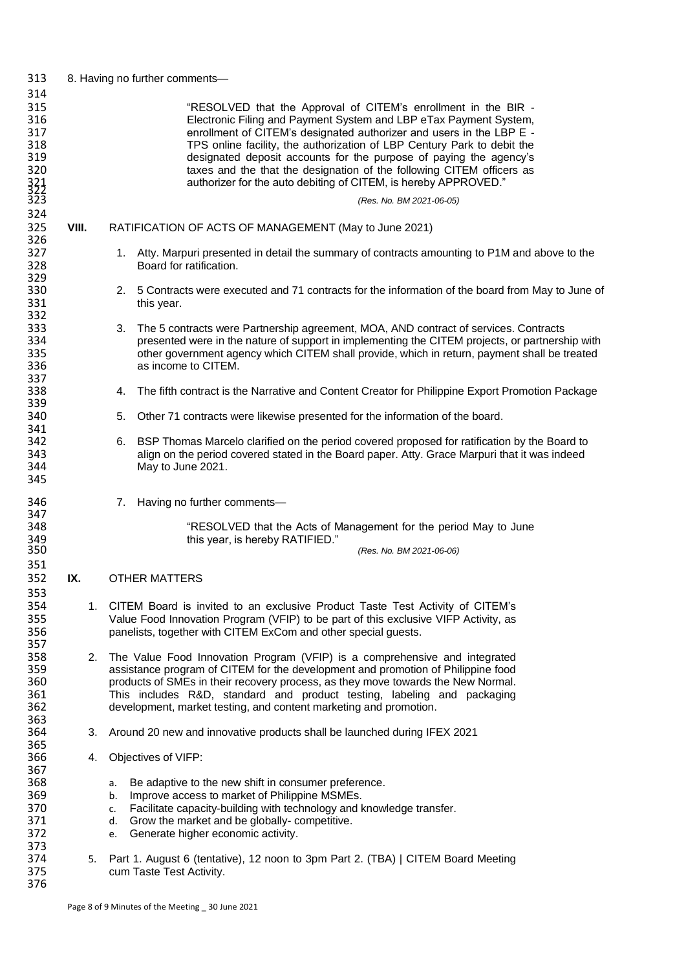| 313                                                                |       | 8. Having no further comments-                                                                                                                                                                                                                                                                                                                                                                                                                                                                           |
|--------------------------------------------------------------------|-------|----------------------------------------------------------------------------------------------------------------------------------------------------------------------------------------------------------------------------------------------------------------------------------------------------------------------------------------------------------------------------------------------------------------------------------------------------------------------------------------------------------|
| 314<br>315<br>316<br>317<br>318<br>319<br>320<br>321<br>322<br>323 |       | "RESOLVED that the Approval of CITEM's enrollment in the BIR -<br>Electronic Filing and Payment System and LBP eTax Payment System,<br>enrollment of CITEM's designated authorizer and users in the LBP E -<br>TPS online facility, the authorization of LBP Century Park to debit the<br>designated deposit accounts for the purpose of paying the agency's<br>taxes and the that the designation of the following CITEM officers as<br>authorizer for the auto debiting of CITEM, is hereby APPROVED." |
| 324                                                                |       | (Res. No. BM 2021-06-05)                                                                                                                                                                                                                                                                                                                                                                                                                                                                                 |
| 325<br>326                                                         | VIII. | RATIFICATION OF ACTS OF MANAGEMENT (May to June 2021)                                                                                                                                                                                                                                                                                                                                                                                                                                                    |
| 327<br>328<br>329                                                  |       | 1. Atty. Marpuri presented in detail the summary of contracts amounting to P1M and above to the<br>Board for ratification.                                                                                                                                                                                                                                                                                                                                                                               |
| 330<br>331<br>332                                                  |       | 5 Contracts were executed and 71 contracts for the information of the board from May to June of<br>2.<br>this year.                                                                                                                                                                                                                                                                                                                                                                                      |
| 333<br>334<br>335<br>336<br>337                                    |       | The 5 contracts were Partnership agreement, MOA, AND contract of services. Contracts<br>3.<br>presented were in the nature of support in implementing the CITEM projects, or partnership with<br>other government agency which CITEM shall provide, which in return, payment shall be treated<br>as income to CITEM.                                                                                                                                                                                     |
| 338<br>339                                                         |       | The fifth contract is the Narrative and Content Creator for Philippine Export Promotion Package<br>4.                                                                                                                                                                                                                                                                                                                                                                                                    |
| 340<br>341                                                         |       | Other 71 contracts were likewise presented for the information of the board.<br>5.                                                                                                                                                                                                                                                                                                                                                                                                                       |
| 342<br>343<br>344<br>345                                           |       | BSP Thomas Marcelo clarified on the period covered proposed for ratification by the Board to<br>6.<br>align on the period covered stated in the Board paper. Atty. Grace Marpuri that it was indeed<br>May to June 2021.                                                                                                                                                                                                                                                                                 |
| 346<br>347                                                         |       | Having no further comments-<br>7.                                                                                                                                                                                                                                                                                                                                                                                                                                                                        |
| 348<br>349<br>350                                                  |       | "RESOLVED that the Acts of Management for the period May to June<br>this year, is hereby RATIFIED."<br>(Res. No. BM 2021-06-06)                                                                                                                                                                                                                                                                                                                                                                          |
| 351                                                                |       |                                                                                                                                                                                                                                                                                                                                                                                                                                                                                                          |
| 352<br>353                                                         | IX.   | <b>OTHER MATTERS</b>                                                                                                                                                                                                                                                                                                                                                                                                                                                                                     |
| 354<br>355<br>356<br>357                                           |       | 1. CITEM Board is invited to an exclusive Product Taste Test Activity of CITEM's<br>Value Food Innovation Program (VFIP) to be part of this exclusive VIFP Activity, as<br>panelists, together with CITEM ExCom and other special guests.                                                                                                                                                                                                                                                                |
| 358<br>359<br>360<br>361<br>362<br>363                             | 2.    | The Value Food Innovation Program (VFIP) is a comprehensive and integrated<br>assistance program of CITEM for the development and promotion of Philippine food<br>products of SMEs in their recovery process, as they move towards the New Normal.<br>This includes R&D, standard and product testing, labeling and packaging<br>development, market testing, and content marketing and promotion.                                                                                                       |
| 364<br>365                                                         | 3.    | Around 20 new and innovative products shall be launched during IFEX 2021                                                                                                                                                                                                                                                                                                                                                                                                                                 |
| 366<br>367                                                         | 4.    | Objectives of VIFP:                                                                                                                                                                                                                                                                                                                                                                                                                                                                                      |
| 368<br>369<br>370<br>371<br>372<br>373                             |       | Be adaptive to the new shift in consumer preference.<br>а.<br>Improve access to market of Philippine MSMEs.<br>b.<br>Facilitate capacity-building with technology and knowledge transfer.<br>c.<br>Grow the market and be globally- competitive.<br>d.<br>Generate higher economic activity.<br>e.                                                                                                                                                                                                       |
| 374<br>375<br>376                                                  | 5.    | Part 1. August 6 (tentative), 12 noon to 3pm Part 2. (TBA)   CITEM Board Meeting<br>cum Taste Test Activity.                                                                                                                                                                                                                                                                                                                                                                                             |